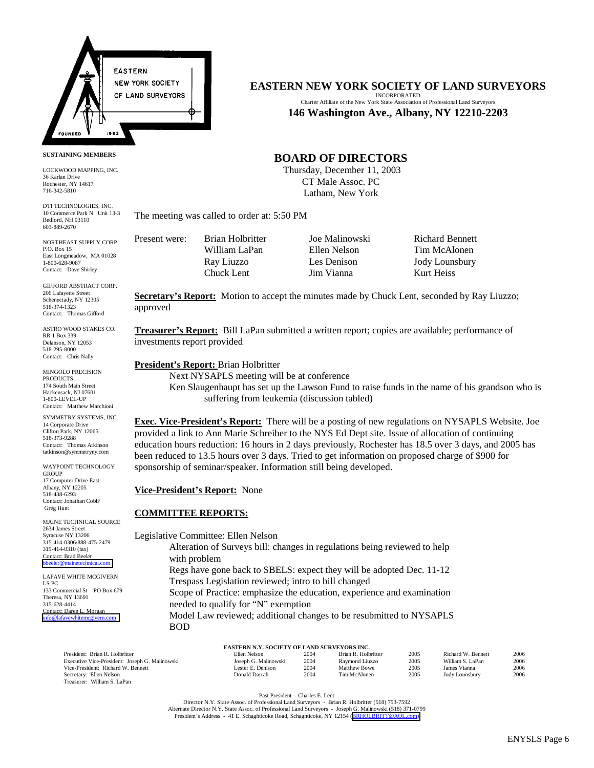

#### **SUSTAINING MEMBERS**

LOCKWOOD MAPPING, INC. 36 Karlan Drive Rochester, NY 14617 716-342-5810

DTI TECHNOLOGIES, INC. 10 Commerce Park N. Unit 13-3 Bedford, NH 03110 603-889-2670

NORTHEAST SUPPLY CORP. P.O. Box 15 East Longmeadow, MA 01028 1-800-628-9087 Contact: Dave Shirley

GIFFORD ABSTRACT CORP. 206 Lafayette Street Schenectady, NY 12305 518-374-1323 Contact: Thomas Gifford

ASTRO WOOD STAKES CO. RR 1 Box 339 Delanson, NY 12053 518-295-8000 Contact: Chris Nally

MINGOLO PRECISION PRODUCTS 174 South Main Street Hackensack, NJ 07601 1-800-LEVEL-UP Contact: Matthew Marchioni

SYMMETRY SYSTEMS, INC. 14 Corporate Drive Clifton Park, NY 12065 518-373-9288 Contact: Thomas Atkinson tatkinson@symmetryny.com

WAYPOINT TECHNOLOGY GROUP 17 Computer Drive East Albany, NY 12205 518-438-6293 Contact: Jonathan Cobb/ Greg Hunt

MAINE TECHNICAL SOURCE 2634 James Street Syracuse NY 13206 315-414-0306/888-475-2479 315-414-0310 (fax) Contact: Brad Beeler  $b$ bbeeler

LAFAVE WHITE MCGIVERN LS PC 133 Commercial St PO Box 679 Theresa, NY 13691 315-628-4414 Contact: Daren L. Morgan [info@lafavewhitemcgivern.com](mailto:info@lafavewhitemcgivern.com)

> President: Brian R. Holbritter Executive Vice-President: Jo Vice-President: Richard W. E Secretary: Ellen Nelson Treasurer: William S. LaPan

## **EASTERN NEW YORK SOCIETY OF LAND SURVEYORS**

INCORPORATED Charter Affiliate of the New York State Association of Professional Land Surveyors **146 Washington Ave., Albany, NY 12210-2203**

## **BOARD OF DIRECTORS**

 Thursday, December 11, 2003 CT Male Assoc. PC Latham, New York

The meeting was called to order at: 5:50 PM

Present were: Brian Holbritter Joe Malinowski Richard Bennett

Chuck Lent Jim Vianna Kurt Heiss

William LaPan Ellen Nelson Tim McAlonen Ray Liuzzo Les Denison Jody Lounsbury

Secretary's **Report:** Motion to accept the minutes made by Chuck Lent, seconded by Ray Liuzzo; approved

**Treasurer's Report:** Bill LaPan submitted a written report; copies are available; performance of investments report provided

#### **President's Report:** Brian Holbritter

Next NYSAPLS meeting will be at conference

Ken Slaugenhaupt has set up the Lawson Fund to raise funds in the name of his grandson who is suffering from leukemia (discussion tabled)

**Exec. Vice-President's Report:** There will be a posting of new regulations on NYSAPLS Website. Joe provided a link to Ann Marie Schreiber to the NYS Ed Dept site. Issue of allocation of continuing education hours reduction: 16 hours in 2 days previously, Rochester has 18.5 over 3 days, and 2005 has been reduced to 13.5 hours over 3 days. Tried to get information on proposed charge of \$900 for sponsorship of seminar/speaker. Information still being developed.

### **Vice-President's Report:** None

### **COMMITTEE REPORTS:**

Legislative Committee: Ellen Nelson Alteration of Surveys bill: changes in regulations being reviewed to help with problem Regs have gone back to SBELS: expect they will be adopted Dec. 11-12 Trespass Legislation reviewed; intro to bill changed Scope of Practice: emphasize the education, experience and examination needed to qualify for "N" exemption Model Law reviewed; additional changes to be resubmitted to NYSAPLS BOD

|  |  | EASTERN N.Y. SOCIETY OF LAND SURVEYORS INC. |  |  |  |  |
|--|--|---------------------------------------------|--|--|--|--|
|  |  |                                             |  |  |  |  |

|                    | Ellen Nelson         | 2004 | Brian R. Holbritter | 2005 | Richard W. Bennett | 2006 |
|--------------------|----------------------|------|---------------------|------|--------------------|------|
| seph G. Malinowski | Joseph G. Malinowski | 2004 | Raymond Liuzzo      | 2005 | William S. LaPan   | 2006 |
| 3ennett            | Lester E. Denison    | 2004 | Matthew Bowe        | 2005 | James Vianna       | 2006 |
|                    | Donald Darrah        | 2004 | Tim McAlonen        | 2005 | Jody Lounsbury     | 2006 |

Past President - Charles E. Lent

Director N.Y. State Assoc. of Professional Land Surveyors - Brian R. Holbritter (518) 753-7592 Alternate Director N.Y. State Assoc. of Professional Land Surveyors - Joseph G. Malinowski (518) 371-0799 President's Address - 41 E. Schaghticoke Road, Schaghticoke, NY 12154 (BRHOLBRITT@AOL